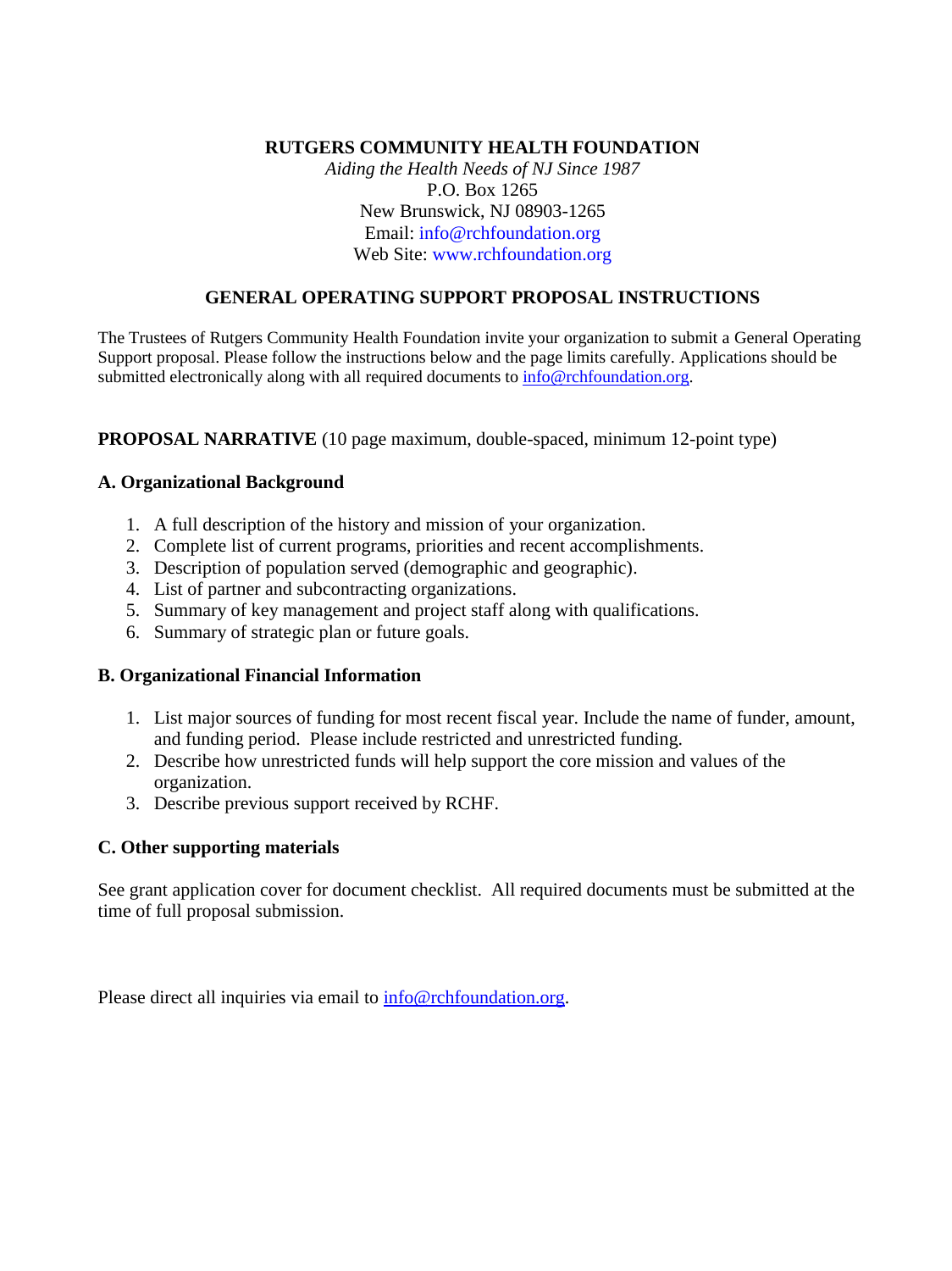## **RUTGERS COMMUNITY HEALTH FOUNDATION**

*Aiding the Health Needs of NJ Since 1987* P.O. Box 1265 New Brunswick, NJ 08903-1265 Email: info@rchfoundation.org Web Site: www.rchfoundation.org

## **GENERAL OPERATING SUPPORT PROPOSAL INSTRUCTIONS**

The Trustees of Rutgers Community Health Foundation invite your organization to submit a General Operating Support proposal. Please follow the instructions below and the page limits carefully. Applications should be submitted electronically along with all required documents to [info@rchfoundation.org.](mailto:info@rchfoundation.org)

#### **PROPOSAL NARRATIVE** (10 page maximum, double-spaced, minimum 12-point type)

#### **A. Organizational Background**

- 1. A full description of the history and mission of your organization.
- 2. Complete list of current programs, priorities and recent accomplishments.
- 3. Description of population served (demographic and geographic).
- 4. List of partner and subcontracting organizations.
- 5. Summary of key management and project staff along with qualifications.
- 6. Summary of strategic plan or future goals.

#### **B. Organizational Financial Information**

- 1. List major sources of funding for most recent fiscal year. Include the name of funder, amount, and funding period. Please include restricted and unrestricted funding.
- 2. Describe how unrestricted funds will help support the core mission and values of the organization.
- 3. Describe previous support received by RCHF.

# **C. Other supporting materials**

See grant application cover for document checklist. All required documents must be submitted at the time of full proposal submission.

Please direct all inquiries via email to [info@rchfoundation.org.](mailto:info@rchfoundation.org)